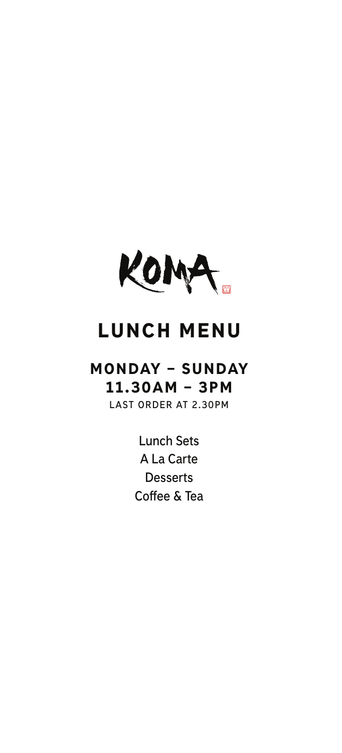

# LUNCH MENU

# MONDAY – SUNDAY 11.30AM – 3PM

**LAST ORDER AT 2.30PM**

**[Lunch Sets](#page-1-0) [A La Carte](#page-10-0) [Desserts](#page-14-0) [Coffee & Tea](#page-15-0)**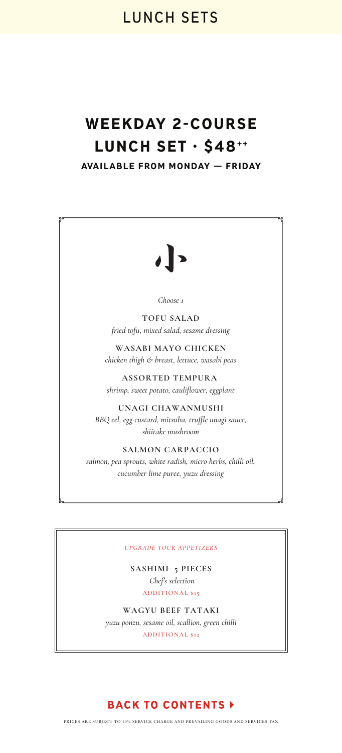# <span id="page-1-0"></span>WEEKDAY 2-COURSE LUNCH SET · \$48\*\* AVAILABLE FROM MONDAY — FRIDAY

*Choose 1*

**TOFU SALAD** *fried tofu, mixed salad, sesame dressing*

**WASABI MAYO CHICKEN** *chicken thigh & breast, lettuce, wasabi peas*

**ASSORTED TEMPURA**  *shrimp, sweet potato, cauliflower, eggplant*

**UNAGI CHAWANMUSHI** *BBQ eel, egg custard, mitsuba, truffle unagi sauce, shiitake mushroom*

**SALMON CARPACCIO** *salmon, pea sprouts, white radish, micro herbs, chilli oil, cucumber lime puree, yuzu dressing*

#### *UPGRADE YOUR APPETIZERS*

**SASHIMI 5 PIECES**  *Chef's selection* ADDITIONAL \$15

**WAGYU BEEF TATAKI**  *yuzu ponzu, sesame oil, scallion, green chilli* ADDITIONAL \$12

### **BACK TO CONTENTS >**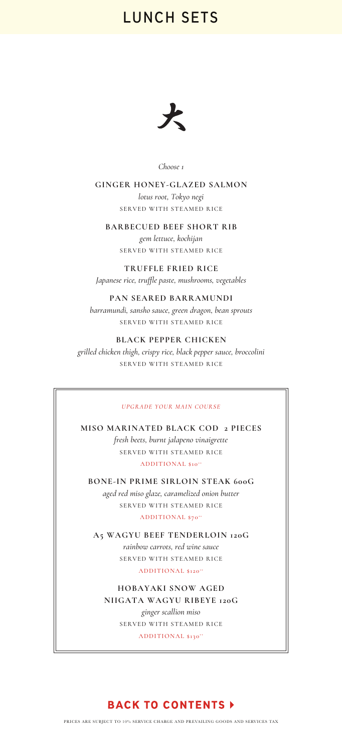

*Choose 1*

**GINGER HONEY-GLAZED SALMON** *lotus root, Tokyo negi*  SERVED WITH STEAMED RICE

#### **BARBECUED BEEF SHORT RIB**

*gem lettuce, kochijan* SERVED WITH STEAMED RICE

**TRUFFLE FRIED RICE** 

*Japanese rice, truffle paste, mushrooms, vegetables* 

#### **PAN SEARED BARRAMUNDI**

*barramundi, sansho sauce, green dragon, bean sprouts* SERVED WITH STEAMED RICE

#### **BLACK PEPPER CHICKEN**

*grilled chicken thigh, crispy rice, black pepper sauce, broccolini* SERVED WITH STEAMED RICE

#### *UPGRADE YOUR MAIN COURSE*

**MISO MARINATED BLACK COD 2 PIECES**  *fresh beets, burnt jalapeno vinaigrette* SERVED WITH STEAMED RICE ADDITIONAL \$10<sup>++</sup>

**BONE-IN PRIME SIRLOIN STEAK 600G** *aged red miso glaze, caramelized onion butter* SERVED WITH STEAMED RICE ADDITIONAL \$70\*\*

**A5 WAGYU BEEF TENDERLOIN 120G**  *rainbow carrots, red wine sauce* SERVED WITH STEAMED RICE ADDITIONAL \$120<sup>++</sup>

**HOBAYAKI SNOW AGED NIIGATA WAGYU RIBEYE 120G**  *ginger scallion miso* SERVED WITH STEAMED RICE

ADDITIONAL \$130<sup>++</sup>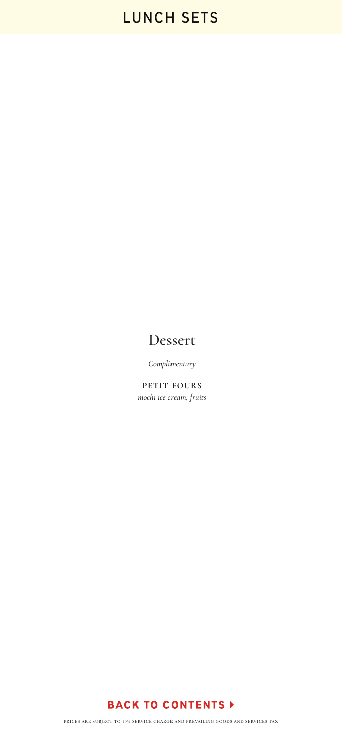### Dessert

*Complimentary*

**PETIT FOURS** *mochi ice cream, fruits*

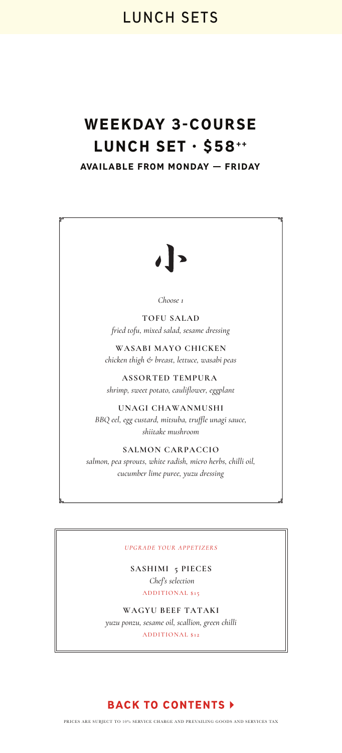# WEEKDAY 3-COURSE LUNCH SET · \$58++

AVAILABLE FROM MONDAY — FRIDAY



*Choose 1*

**TOFU SALAD** *fried tofu, mixed salad, sesame dressing*

**WASABI MAYO CHICKEN** *chicken thigh & breast, lettuce, wasabi peas*

**ASSORTED TEMPURA**  *shrimp, sweet potato, cauliflower, eggplant*

**UNAGI CHAWANMUSHI** *BBQ eel, egg custard, mitsuba, truffle unagi sauce, shiitake mushroom*

**SALMON CARPACCIO** *salmon, pea sprouts, white radish, micro herbs, chilli oil, cucumber lime puree, yuzu dressing*

#### *UPGRADE YOUR APPETIZERS*

**SASHIMI 5 PIECES**  *Chef's selection* ADDITIONAL \$15

**WAGYU BEEF TATAKI**  *yuzu ponzu, sesame oil, scallion, green chilli* ADDITIONAL \$12

#### **BACK TO CONTENTS >**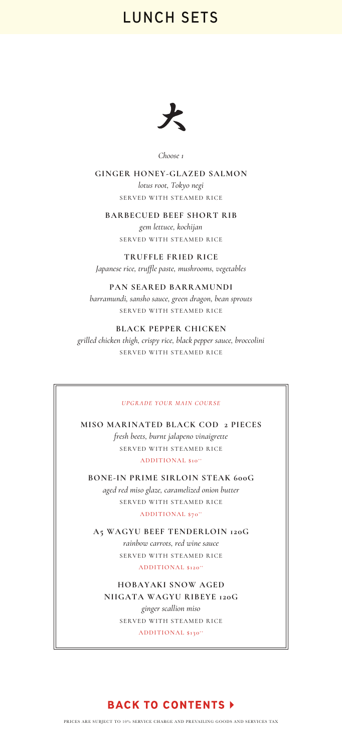

*Choose 1*

**GINGER HONEY-GLAZED SALMON** *lotus root, Tokyo negi*  SERVED WITH STEAMED RICE

#### **BARBECUED BEEF SHORT RIB**

*gem lettuce, kochijan* SERVED WITH STEAMED RICE

**TRUFFLE FRIED RICE**  *Japanese rice, truffle paste, mushrooms, vegetables* 

#### **PAN SEARED BARRAMUNDI**

*barramundi, sansho sauce, green dragon, bean sprouts* SERVED WITH STEAMED RICE

#### **BLACK PEPPER CHICKEN**

*grilled chicken thigh, crispy rice, black pepper sauce, broccolini* SERVED WITH STEAMED RICE

#### *UPGRADE YOUR MAIN COURSE*

**MISO MARINATED BLACK COD 2 PIECES**  *fresh beets, burnt jalapeno vinaigrette* SERVED WITH STEAMED RICE ADDITIONAL \$10<sup>++</sup>

**BONE-IN PRIME SIRLOIN STEAK 600G** *aged red miso glaze, caramelized onion butter* SERVED WITH STEAMED RICE ADDITIONAL \$70<sup>++</sup>

**A5 WAGYU BEEF TENDERLOIN 120G**  *rainbow carrots, red wine sauce* SERVED WITH STEAMED RICE ADDITIONAL \$120<sup>++</sup>

**HOBAYAKI SNOW AGED NIIGATA WAGYU RIBEYE 120G**  *ginger scallion miso* SERVED WITH STEAMED RICE

ADDITIONAL \$130<sup>++</sup>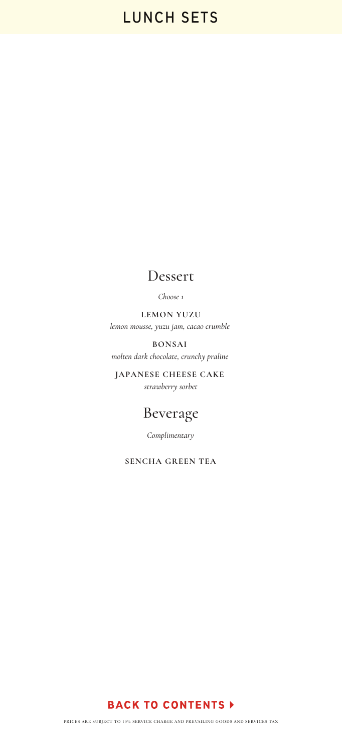### Dessert

*Choose 1*

**LEMON YUZU** *lemon mousse, yuzu jam, cacao crumble* 

**BONSAI**  *molten dark chocolate, crunchy praline* 

**JAPANESE CHEESE CAKE**  *strawberry sorbet*

### Beverage

*Complimentary*

**SENCHA GREEN TEA**

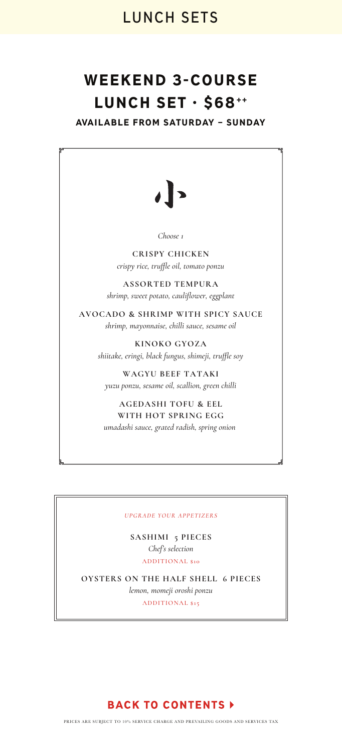# WEEKEND 3-COURSE LUNCH SET · \$68<sup>++</sup>

AVAILABLE FROM SATURDAY – SUNDAY

*Choose 1*

**CRISPY CHICKEN** *crispy rice, truffle oil, tomato ponzu*

**ASSORTED TEMPURA** *shrimp, sweet potato, cauliflower, eggplant*

**AVOCADO & SHRIMP WITH SPICY SAUCE** *shrimp, mayonnaise, chilli sauce, sesame oil*

> **KINOKO GYOZA** *shiitake, eringi, black fungus, shimeji, truffle soy*

**WAGYU BEEF TATAKI** *yuzu ponzu, sesame oil, scallion, green chilli*

**AGEDASHI TOFU & EEL WITH HOT SPRING EGG** *umadashi sauce, grated radish, spring onion* 

#### *UPGRADE YOUR APPETIZERS*

**SASHIMI 5 PIECES** *Chef's selection* ADDITIONAL \$10

**OYSTERS ON THE HALF SHELL 6 PIECES**  *lemon, momeji oroshi ponzu* ADDITIONAL \$15

#### **BACK TO CONTENTS >**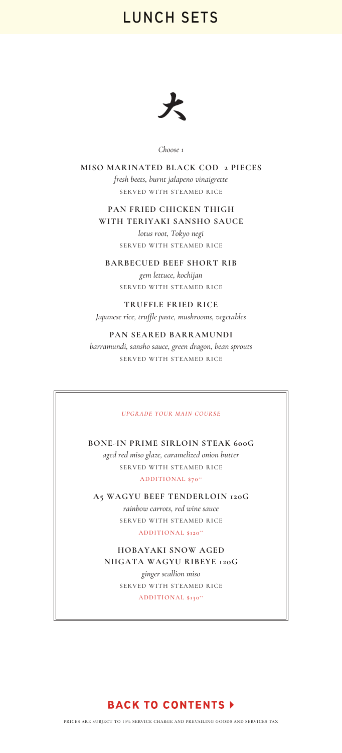

*Choose 1*

**MISO MARINATED BLACK COD 2 PIECES**  *fresh beets, burnt jalapeno vinaigrette*  SERVED WITH STEAMED RICE

**PAN FRIED CHICKEN THIGH WITH TERIYAKI SANSHO SAUCE**  *lotus root, Tokyo negi* 

SERVED WITH STEAMED RICE

**BARBECUED BEEF SHORT RIB** *gem lettuce, kochijan* SERVED WITH STEAMED RICE

**TRUFFLE FRIED RICE**  *Japanese rice, truffle paste, mushrooms, vegetables* 

**PAN SEARED BARRAMUNDI** *barramundi, sansho sauce, green dragon, bean sprouts* SERVED WITH STEAMED RICE

#### *UPGRADE YOUR MAIN COURSE*

**BONE-IN PRIME SIRLOIN STEAK 600G** *aged red miso glaze, caramelized onion butter* SERVED WITH STEAMED RICE ADDITIONAL \$70<sup>++</sup>

**A5 WAGYU BEEF TENDERLOIN 120G**  *rainbow carrots, red wine sauce* SERVED WITH STEAMED RICE ADDITIONAL \$120<sup>++</sup>

**HOBAYAKI SNOW AGED NIIGATA WAGYU RIBEYE 120G**  *ginger scallion miso* SERVED WITH STEAMED RICE ADDITIONAL \$130<sup>++</sup>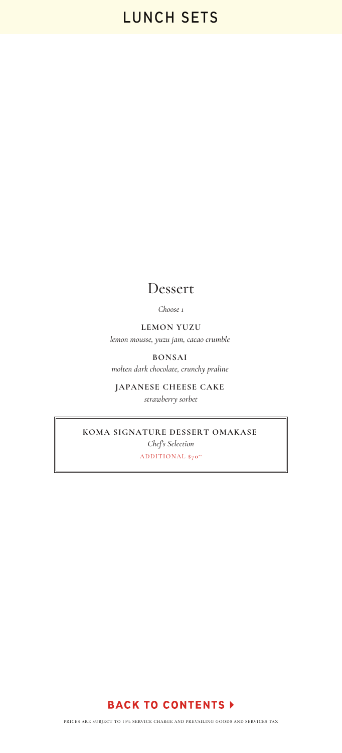### Dessert

*Choose 1*

**LEMON YUZU** *lemon mousse, yuzu jam, cacao crumble* 

**BONSAI**  *molten dark chocolate, crunchy praline* 

**JAPANESE CHEESE CAKE**  *strawberry sorbet*

**KOMA SIGNATURE DESSERT OMAKASE**  *Chef's Selection* ADDITIONAL \$70<sup>++</sup>

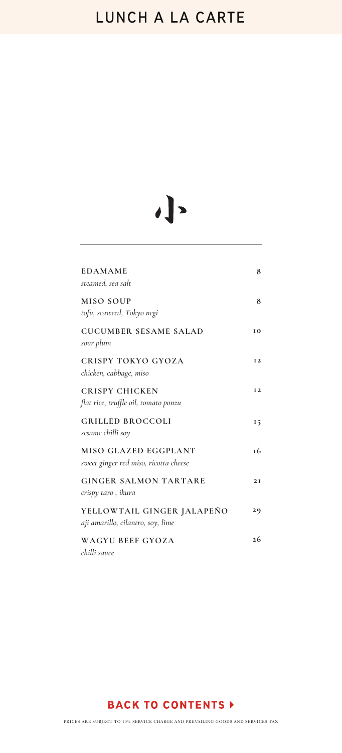# <span id="page-10-0"></span>**LUNCH A LA CARTE**

# $\cdot$ ]

| <b>EDAMAME</b>                                                  | 8              |
|-----------------------------------------------------------------|----------------|
| steamed, sea salt                                               |                |
| <b>MISO SOUP</b><br>tofu, seaweed, Tokyo negi                   | 8              |
| <b>CUCUMBER SESAME SALAD</b><br>sour plum                       | 10             |
| <b>CRISPY TOKYO GYOZA</b><br>chicken, cabbage, miso             | I <sub>2</sub> |
| <b>CRISPY CHICKEN</b><br>flat rice, truffle oil, tomato ponzu   | <b>I2</b>      |
| <b>GRILLED BROCCOLI</b><br>sesame chilli soy                    | 15             |
| MISO GLAZED EGGPLANT<br>sweet ginger red miso, ricotta cheese   | <b>16</b>      |
| <b>GINGER SALMON TARTARE</b><br>crispy taro , ikura             | 2I             |
| YELLOWTAIL GINGER JALAPEÑO<br>aji amarillo, cilantro, soy, lime | 29             |
| WAGYU BEEF GYOZA<br>chilli sauce                                | 26             |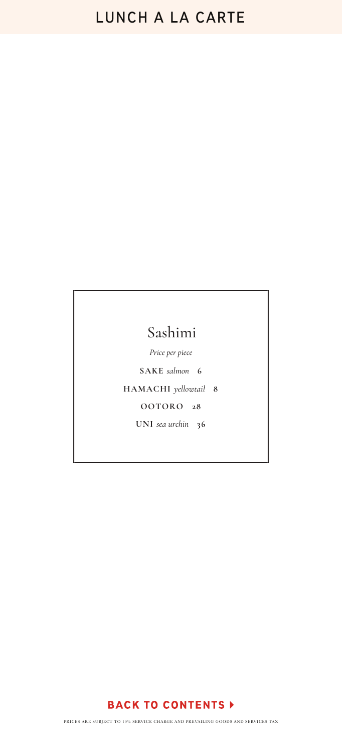# **LUNCH A LA CARTE**

# Sashimi

*Price per piece*

**SAKE** *salmon* **6**

**HAMACHI** *yellowtail* **8**

**OOTORO 28**

**UNI** *sea urchin* **36**

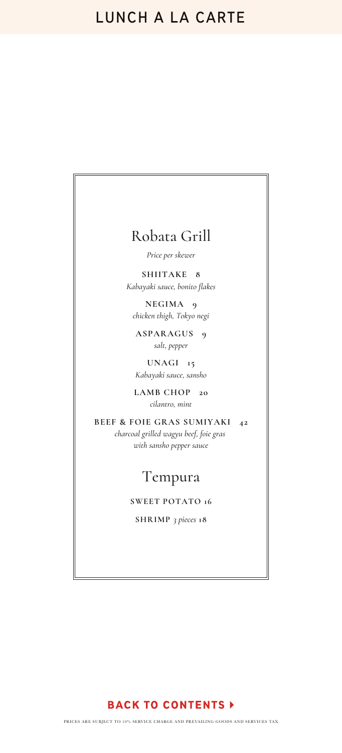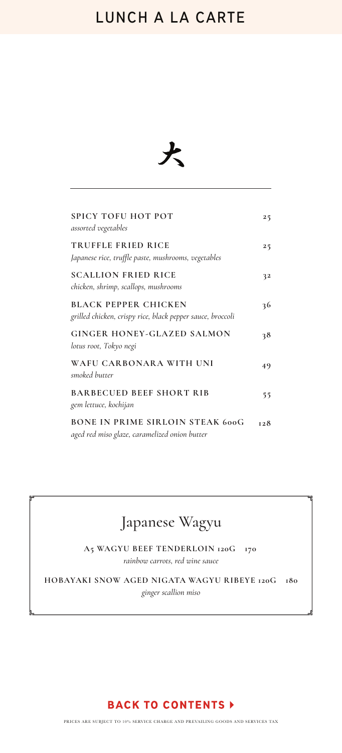# **LUNCH A LA CARTE**



| <b>SPICY TOFU HOT POT</b><br>assorted vegetables                                          | 25  |
|-------------------------------------------------------------------------------------------|-----|
| TRUFFLE FRIED RICE<br>Japanese rice, truffle paste, mushrooms, vegetables                 | 25  |
| <b>SCALLION FRIED RICE</b><br>chicken, shrimp, scallops, mushrooms                        | 32  |
| <b>BLACK PEPPER CHICKEN</b><br>grilled chicken, crispy rice, black pepper sauce, broccoli | 36  |
| <b>GINGER HONEY-GLAZED SALMON</b><br>lotus root, Tokyo negi                               | 38  |
| WAFU CARBONARA WITH UNI<br>smoked butter                                                  | 49  |
| <b>BARBECUED BEEF SHORT RIB</b><br>gem lettuce, kochijan                                  | 55  |
| <b>BONE IN PRIME SIRLOIN STEAK 600G</b><br>aged red miso glaze, caramelized onion butter  | 128 |

# Japanese Wagyu

**A5 WAGYU BEEF TENDERLOIN 120G 170**  *rainbow carrots, red wine sauce*

**HOBAYAKI SNOW AGED NIGATA WAGYU RIBEYE 120G 180** *ginger scallion miso*

### **BACK TO CONTENTS >**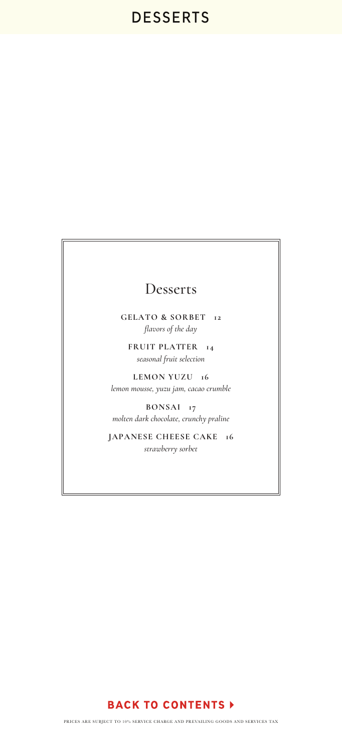### <span id="page-14-0"></span>Desserts

**GELATO & SORBET 12** *flavors of the day*

**FRUIT PLATTER 14** *seasonal fruit selection*

**LEMON YUZU 16** *lemon mousse, yuzu jam, cacao crumble*

**BONSAI 17** *molten dark chocolate, crunchy praline*

**JAPANESE CHEESE CAKE 16** *strawberry sorbet*